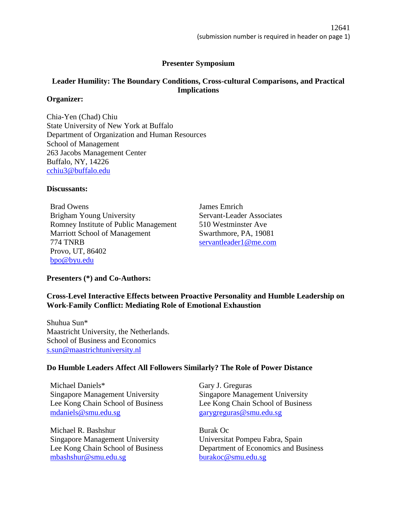# **Presenter Symposium**

# **Leader Humility: The Boundary Conditions, Cross-cultural Comparisons, and Practical Implications**

## **Organizer:**

Chia-Yen (Chad) Chiu State University of New York at Buffalo Department of Organization and Human Resources School of Management 263 Jacobs Management Center Buffalo, NY, 14226 [cchiu3@buffalo.edu](mailto:cchiu3@buffalo.edu)

## **Discussants:**

Brad Owens Brigham Young University Romney Institute of Public Management Marriott School of Management 774 TNRB Provo, UT, 86402 [bpo@byu.edu](mailto:bpo@byu.edu)

James Emrich Servant-Leader Associates 510 Westminster Ave Swarthmore, PA, 19081 [servantleader1@me.com](mailto:servantleader1@me.com)

# **Presenters (\*) and Co-Authors:**

# **Cross-Level Interactive Effects between Proactive Personality and Humble Leadership on Work-Family Conflict: Mediating Role of Emotional Exhaustion**

Shuhua Sun\* Maastricht University, the Netherlands. School of Business and Economics [s.sun@maastrichtuniversity.nl](mailto:s.sun@maastrichtuniversity.nl)

# **Do Humble Leaders Affect All Followers Similarly? The Role of Power Distance**

Michael Daniels\* Singapore Management University Lee Kong Chain School of Business [mdaniels@smu.edu.sg](mailto:mdaniels@smu.edu.sg)

Michael R. Bashshur Singapore Management University Lee Kong Chain School of Business [mbashshur@smu.edu.sg](mailto:mbashshur@smu.edu.sg)

Gary J. Greguras Singapore Management University Lee Kong Chain School of Business [garygreguras@smu.edu.sg](mailto:garygreguras@smu.edu.sg)

Burak Oc Universitat Pompeu Fabra, Spain Department of Economics and Business [burakoc@smu.edu.sg](mailto:burakoc@smu.edu.sg)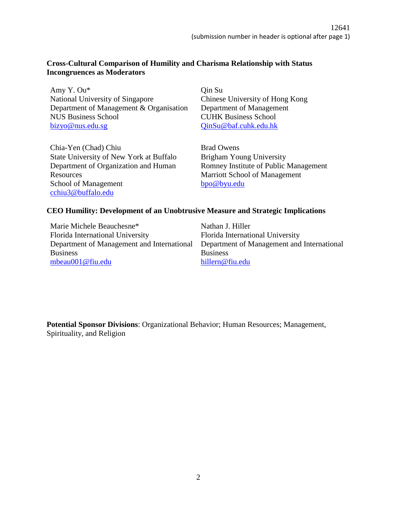# **Cross-Cultural Comparison of Humility and Charisma Relationship with Status Incongruences as Moderators**

Amy Y. Ou\* National University of Singapore Department of Management & Organisation NUS Business School [bizyo@nus.edu.sg](mailto:bizyo@nus.edu.sg)

Qin Su Chinese University of Hong Kong Department of Management CUHK Business School [QinSu@baf.cuhk.edu.hk](mailto:QinSu@baf.cuhk.edu.hk)

Chia-Yen (Chad) Chiu State University of New York at Buffalo Department of Organization and Human **Resources** School of Management [cchiu3@buffalo.edu](mailto:cchiu3@buffalo.edu)

Brad Owens Brigham Young University Romney Institute of Public Management Marriott School of Management [bpo@byu.edu](mailto:bpo@byu.edu)

## **CEO Humility: Development of an Unobtrusive Measure and Strategic Implications**

Marie Michele Beauchesne\* Florida International University Department of Management and International Business [mbeau001@fiu.edu](mailto:mbeau001@fiu.edu)

Nathan J. Hiller Florida International University Department of Management and International Business [hillern@fiu.edu](mailto:hillern@fiu.edu)

**Potential Sponsor Divisions**: Organizational Behavior; Human Resources; Management, Spirituality, and Religion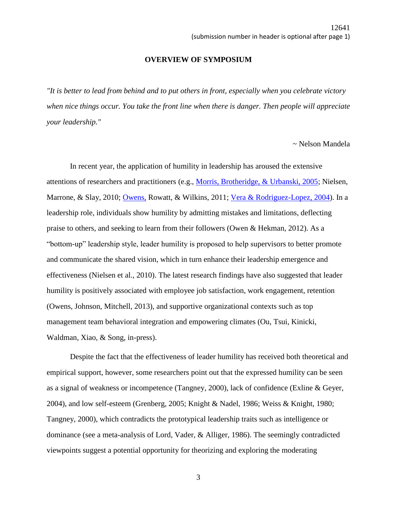#### **OVERVIEW OF SYMPOSIUM**

*"It is better to lead from behind and to put others in front, especially when you celebrate victory when nice things occur. You take the front line when there is danger. Then people will appreciate your leadership."*

~ Nelson Mandela

In recent year, the application of humility in leadership has aroused the extensive attentions of researchers and practitioners (e.g., [Morris, Brotheridge, & Urbanski, 2005;](file://///zorro.aom.org/Annual%20Meeting/2017%20Annual%20Meeting%20Atlanta/Program%20Documents/Sample_Submissions/JH%20Sample_Submission_PRESENTER_SYMPOSIUM.docx%23_ENREF_62) Nielsen, Marrone, & Slay, 2010; [Owens,](file://///zorro.aom.org/Annual%20Meeting/2017%20Annual%20Meeting%20Atlanta/Program%20Documents/Sample_Submissions/JH%20Sample_Submission_PRESENTER_SYMPOSIUM.docx%23_ENREF_66) Rowatt, & Wilkins, 2011; [Vera & Rodriguez-Lopez, 2004\)](file://///zorro.aom.org/Annual%20Meeting/2017%20Annual%20Meeting%20Atlanta/Program%20Documents/Sample_Submissions/JH%20Sample_Submission_PRESENTER_SYMPOSIUM.docx%23_ENREF_80). In a leadership role, individuals show humility by admitting mistakes and limitations, deflecting praise to others, and seeking to learn from their followers (Owen & Hekman, 2012). As a "bottom-up" leadership style, leader humility is proposed to help supervisors to better promote and communicate the shared vision, which in turn enhance their leadership emergence and effectiveness (Nielsen et al., 2010). The latest research findings have also suggested that leader humility is positively associated with employee job satisfaction, work engagement, retention (Owens, Johnson, Mitchell, 2013), and supportive organizational contexts such as top management team behavioral integration and empowering climates (Ou, Tsui, Kinicki, Waldman, Xiao, & Song, in-press).

Despite the fact that the effectiveness of leader humility has received both theoretical and empirical support, however, some researchers point out that the expressed humility can be seen as a signal of weakness or incompetence (Tangney, 2000), lack of confidence (Exline & Geyer, 2004), and low self-esteem (Grenberg, 2005; Knight & Nadel, 1986; Weiss & Knight, 1980; Tangney, 2000), which contradicts the prototypical leadership traits such as intelligence or dominance (see a meta-analysis of Lord, Vader, & Alliger, 1986). The seemingly contradicted viewpoints suggest a potential opportunity for theorizing and exploring the moderating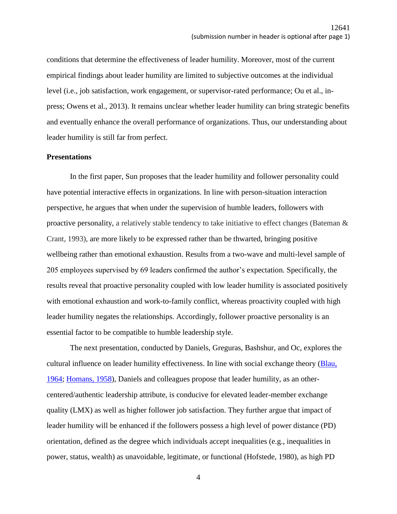conditions that determine the effectiveness of leader humility. Moreover, most of the current empirical findings about leader humility are limited to subjective outcomes at the individual level (i.e., job satisfaction, work engagement, or supervisor-rated performance; Ou et al., inpress; Owens et al., 2013). It remains unclear whether leader humility can bring strategic benefits and eventually enhance the overall performance of organizations. Thus, our understanding about leader humility is still far from perfect.

## **Presentations**

In the first paper, Sun proposes that the leader humility and follower personality could have potential interactive effects in organizations. In line with person-situation interaction perspective, he argues that when under the supervision of humble leaders, followers with proactive personality, a relatively stable tendency to take initiative to effect changes (Bateman & Crant, 1993), are more likely to be expressed rather than be thwarted, bringing positive wellbeing rather than emotional exhaustion. Results from a two-wave and multi-level sample of 205 employees supervised by 69 leaders confirmed the author's expectation. Specifically, the results reveal that proactive personality coupled with low leader humility is associated positively with emotional exhaustion and work-to-family conflict, whereas proactivity coupled with high leader humility negates the relationships. Accordingly, follower proactive personality is an essential factor to be compatible to humble leadership style.

The next presentation, conducted by Daniels, Greguras, Bashshur, and Oc, explores the cultural influence on leader humility effectiveness. In line with social exchange theory (Blau, [1964;](file://///zorro.aom.org/Annual%20Meeting/2017%20Annual%20Meeting%20Atlanta/Program%20Documents/Sample_Submissions/JH%20Sample_Submission_PRESENTER_SYMPOSIUM.docx%23_ENREF_6) [Homans, 1958\)](file://///zorro.aom.org/Annual%20Meeting/2017%20Annual%20Meeting%20Atlanta/Program%20Documents/Sample_Submissions/JH%20Sample_Submission_PRESENTER_SYMPOSIUM.docx%23_ENREF_46), Daniels and colleagues propose that leader humility, as an othercentered/authentic leadership attribute, is conducive for elevated leader-member exchange quality (LMX) as well as higher follower job satisfaction. They further argue that impact of leader humility will be enhanced if the followers possess a high level of power distance (PD) orientation, defined as the degree which individuals accept inequalities (e.g., inequalities in power, status, wealth) as unavoidable, legitimate, or functional (Hofstede, 1980), as high PD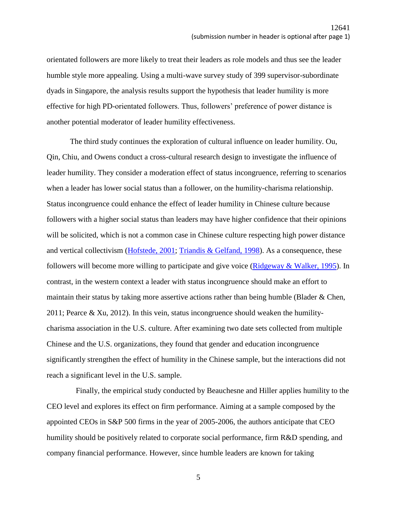orientated followers are more likely to treat their leaders as role models and thus see the leader humble style more appealing. Using a multi-wave survey study of 399 supervisor-subordinate dyads in Singapore, the analysis results support the hypothesis that leader humility is more effective for high PD-orientated followers. Thus, followers' preference of power distance is another potential moderator of leader humility effectiveness.

The third study continues the exploration of cultural influence on leader humility. Ou, Qin, Chiu, and Owens conduct a cross-cultural research design to investigate the influence of leader humility. They consider a moderation effect of status incongruence, referring to scenarios when a leader has lower social status than a follower, on the humility-charisma relationship. Status incongruence could enhance the effect of leader humility in Chinese culture because followers with a higher social status than leaders may have higher confidence that their opinions will be solicited, which is not a common case in Chinese culture respecting high power distance and vertical collectivism [\(Hofstede, 2001;](file://///zorro.aom.org/Annual%20Meeting/2017%20Annual%20Meeting%20Atlanta/Program%20Documents/Sample_Submissions/JH%20Sample_Submission_PRESENTER_SYMPOSIUM.docx%23_ENREF_13) [Triandis & Gelfand, 1998\)](file://///zorro.aom.org/Annual%20Meeting/2017%20Annual%20Meeting%20Atlanta/Program%20Documents/Sample_Submissions/JH%20Sample_Submission_PRESENTER_SYMPOSIUM.docx%23_ENREF_30). As a consequence, these followers will become more willing to participate and give voice ( $Ridgeway & Walker, 1995$ ). In contrast, in the western context a leader with status incongruence should make an effort to maintain their status by taking more assertive actions rather than being humble (Blader & Chen, 2011; Pearce & Xu, 2012). In this vein, status incongruence should weaken the humilitycharisma association in the U.S. culture. After examining two date sets collected from multiple Chinese and the U.S. organizations, they found that gender and education incongruence significantly strengthen the effect of humility in the Chinese sample, but the interactions did not reach a significant level in the U.S. sample.

 Finally, the empirical study conducted by Beauchesne and Hiller applies humility to the CEO level and explores its effect on firm performance. Aiming at a sample composed by the appointed CEOs in S&P 500 firms in the year of 2005-2006, the authors anticipate that CEO humility should be positively related to corporate social performance, firm R&D spending, and company financial performance. However, since humble leaders are known for taking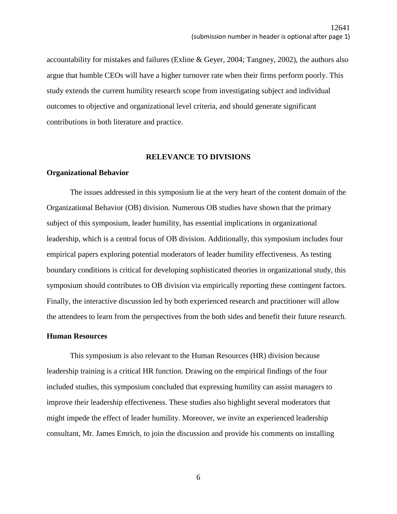accountability for mistakes and failures (Exline & Geyer, 2004; Tangney, 2002), the authors also argue that humble CEOs will have a higher turnover rate when their firms perform poorly. This study extends the current humility research scope from investigating subject and individual outcomes to objective and organizational level criteria, and should generate significant contributions in both literature and practice.

## **RELEVANCE TO DIVISIONS**

### **Organizational Behavior**

The issues addressed in this symposium lie at the very heart of the content domain of the Organizational Behavior (OB) division. Numerous OB studies have shown that the primary subject of this symposium, leader humility, has essential implications in organizational leadership, which is a central focus of OB division. Additionally, this symposium includes four empirical papers exploring potential moderators of leader humility effectiveness. As testing boundary conditions is critical for developing sophisticated theories in organizational study, this symposium should contributes to OB division via empirically reporting these contingent factors. Finally, the interactive discussion led by both experienced research and practitioner will allow the attendees to learn from the perspectives from the both sides and benefit their future research.

### **Human Resources**

This symposium is also relevant to the Human Resources (HR) division because leadership training is a critical HR function. Drawing on the empirical findings of the four included studies, this symposium concluded that expressing humility can assist managers to improve their leadership effectiveness. These studies also highlight several moderators that might impede the effect of leader humility. Moreover, we invite an experienced leadership consultant, Mr. James Emrich, to join the discussion and provide his comments on installing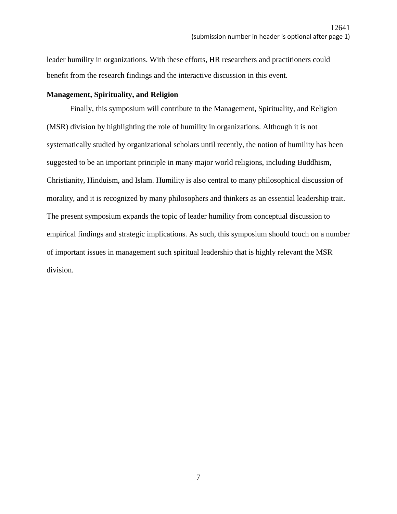leader humility in organizations. With these efforts, HR researchers and practitioners could benefit from the research findings and the interactive discussion in this event.

## **Management, Spirituality, and Religion**

Finally, this symposium will contribute to the Management, Spirituality, and Religion (MSR) division by highlighting the role of humility in organizations. Although it is not systematically studied by organizational scholars until recently, the notion of humility has been suggested to be an important principle in many major world religions, including Buddhism, Christianity, Hinduism, and Islam. Humility is also central to many philosophical discussion of morality, and it is recognized by many philosophers and thinkers as an essential leadership trait. The present symposium expands the topic of leader humility from conceptual discussion to empirical findings and strategic implications. As such, this symposium should touch on a number of important issues in management such spiritual leadership that is highly relevant the MSR division.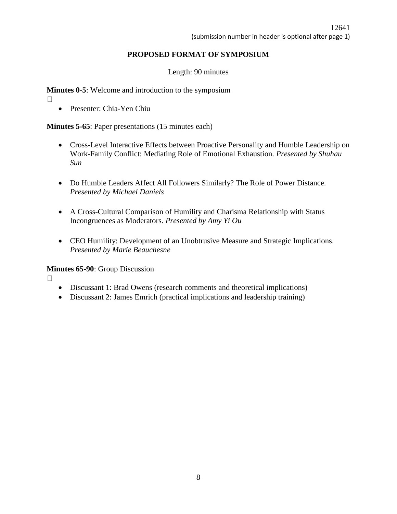# **PROPOSED FORMAT OF SYMPOSIUM**

Length: 90 minutes

**Minutes 0-5:** Welcome and introduction to the symposium

- $\Box$
- **•** Presenter: Chia-Yen Chiu

**Minutes 5-65**: Paper presentations (15 minutes each)

- Cross-Level Interactive Effects between Proactive Personality and Humble Leadership on Work-Family Conflict: Mediating Role of Emotional Exhaustion*. Presented by Shuhau Sun*
- Do Humble Leaders Affect All Followers Similarly? The Role of Power Distance. *Presented by Michael Daniels*
- A Cross-Cultural Comparison of Humility and Charisma Relationship with Status Incongruences as Moderators. *Presented by Amy Yi Ou*
- CEO Humility: Development of an Unobtrusive Measure and Strategic Implications. *Presented by Marie Beauchesne*

**Minutes 65-90**: Group Discussion

 $\Box$ 

- Discussant 1: Brad Owens (research comments and theoretical implications)
- Discussant 2: James Emrich (practical implications and leadership training)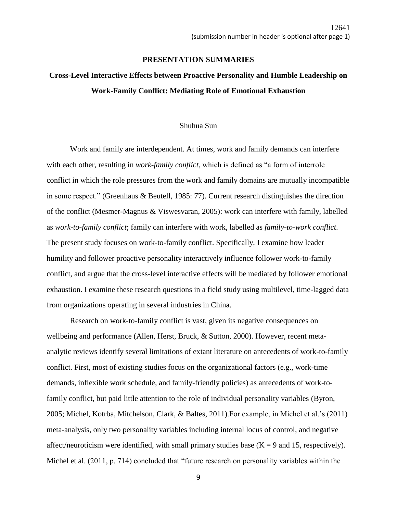### **PRESENTATION SUMMARIES**

# **Cross-Level Interactive Effects between Proactive Personality and Humble Leadership on Work-Family Conflict: Mediating Role of Emotional Exhaustion**

## Shuhua Sun

Work and family are interdependent. At times, work and family demands can interfere with each other, resulting in *work-family conflict*, which is defined as "a form of interrole conflict in which the role pressures from the work and family domains are mutually incompatible in some respect." (Greenhaus & Beutell, 1985: 77). Current research distinguishes the direction of the conflict (Mesmer-Magnus & Viswesvaran, 2005): work can interfere with family, labelled as *work-to-family conflict*; family can interfere with work, labelled as *family-to-work conflict*. The present study focuses on work-to-family conflict. Specifically, I examine how leader humility and follower proactive personality interactively influence follower work-to-family conflict, and argue that the cross-level interactive effects will be mediated by follower emotional exhaustion. I examine these research questions in a field study using multilevel, time-lagged data from organizations operating in several industries in China.

Research on work-to-family conflict is vast, given its negative consequences on wellbeing and performance (Allen, Herst, Bruck, & Sutton, 2000). However, recent metaanalytic reviews identify several limitations of extant literature on antecedents of work-to-family conflict. First, most of existing studies focus on the organizational factors (e.g., work-time demands, inflexible work schedule, and family-friendly policies) as antecedents of work-tofamily conflict, but paid little attention to the role of individual personality variables (Byron, 2005; Michel, Kotrba, Mitchelson, Clark, & Baltes, 2011).For example, in Michel et al.'s (2011) meta-analysis, only two personality variables including internal locus of control, and negative affect/neuroticism were identified, with small primary studies base  $(K = 9$  and 15, respectively). Michel et al. (2011, p. 714) concluded that "future research on personality variables within the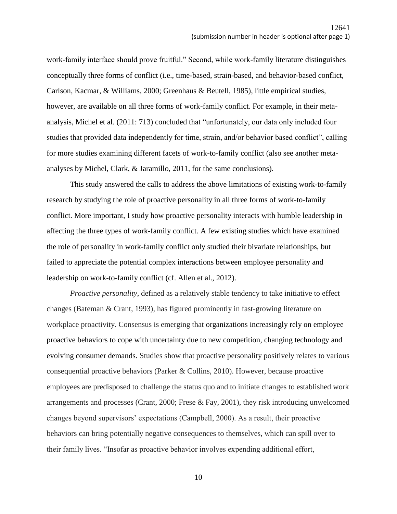work-family interface should prove fruitful." Second, while work-family literature distinguishes conceptually three forms of conflict (i.e., time-based, strain-based, and behavior-based conflict, Carlson, Kacmar, & Williams, 2000; Greenhaus & Beutell, 1985), little empirical studies, however, are available on all three forms of work-family conflict. For example, in their metaanalysis, Michel et al. (2011: 713) concluded that "unfortunately, our data only included four studies that provided data independently for time, strain, and/or behavior based conflict", calling for more studies examining different facets of work-to-family conflict (also see another metaanalyses by Michel, Clark, & Jaramillo, 2011, for the same conclusions).

This study answered the calls to address the above limitations of existing work-to-family research by studying the role of proactive personality in all three forms of work-to-family conflict. More important, I study how proactive personality interacts with humble leadership in affecting the three types of work-family conflict. A few existing studies which have examined the role of personality in work-family conflict only studied their bivariate relationships, but failed to appreciate the potential complex interactions between employee personality and leadership on work-to-family conflict (cf. Allen et al., 2012).

*Proactive personality*, defined as a relatively stable tendency to take initiative to effect changes (Bateman & Crant, 1993), has figured prominently in fast-growing literature on workplace proactivity. Consensus is emerging that organizations increasingly rely on employee proactive behaviors to cope with uncertainty due to new competition, changing technology and evolving consumer demands. Studies show that proactive personality positively relates to various consequential proactive behaviors (Parker & Collins, 2010). However, because proactive employees are predisposed to challenge the status quo and to initiate changes to established work arrangements and processes (Crant, 2000; Frese & Fay, 2001), they risk introducing unwelcomed changes beyond supervisors' expectations (Campbell, 2000). As a result, their proactive behaviors can bring potentially negative consequences to themselves, which can spill over to their family lives. "Insofar as proactive behavior involves expending additional effort,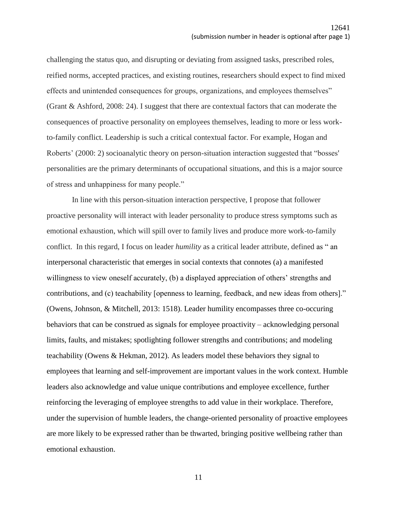challenging the status quo, and disrupting or deviating from assigned tasks, prescribed roles, reified norms, accepted practices, and existing routines, researchers should expect to find mixed effects and unintended consequences for groups, organizations, and employees themselves" (Grant & Ashford, 2008: 24). I suggest that there are contextual factors that can moderate the consequences of proactive personality on employees themselves, leading to more or less workto-family conflict. Leadership is such a critical contextual factor. For example, Hogan and Roberts' (2000: 2) socioanalytic theory on person-situation interaction suggested that "bosses' personalities are the primary determinants of occupational situations, and this is a major source of stress and unhappiness for many people."

In line with this person-situation interaction perspective, I propose that follower proactive personality will interact with leader personality to produce stress symptoms such as emotional exhaustion, which will spill over to family lives and produce more work-to-family conflict. In this regard, I focus on leader *humility* as a critical leader attribute, defined as " an interpersonal characteristic that emerges in social contexts that connotes (a) a manifested willingness to view oneself accurately, (b) a displayed appreciation of others' strengths and contributions, and (c) teachability [openness to learning, feedback, and new ideas from others]." (Owens, Johnson, & Mitchell, 2013: 1518). Leader humility encompasses three co-occuring behaviors that can be construed as signals for employee proactivity – acknowledging personal limits, faults, and mistakes; spotlighting follower strengths and contributions; and modeling teachability (Owens & Hekman, 2012). As leaders model these behaviors they signal to employees that learning and self-improvement are important values in the work context. Humble leaders also acknowledge and value unique contributions and employee excellence, further reinforcing the leveraging of employee strengths to add value in their workplace. Therefore, under the supervision of humble leaders, the change-oriented personality of proactive employees are more likely to be expressed rather than be thwarted, bringing positive wellbeing rather than emotional exhaustion.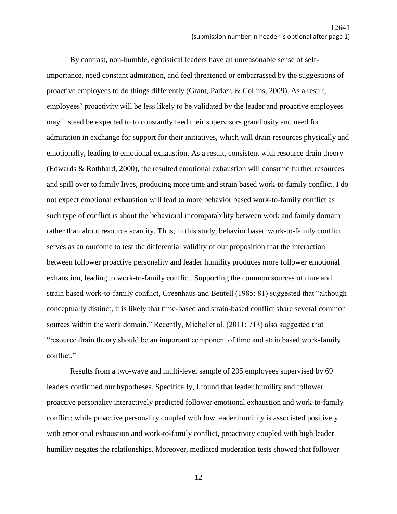By contrast, non-humble, egotistical leaders have an unreasonable sense of selfimportance, need constant admiration, and feel threatened or embarrassed by the suggestions of proactive employees to do things differently (Grant, Parker, & Collins, 2009). As a result, employees' proactivity will be less likely to be validated by the leader and proactive employees may instead be expected to to constantly feed their supervisors grandiosity and need for admiration in exchange for support for their initiatives, which will drain resources physically and emotionally, leading to emotional exhaustion. As a result, consistent with resource drain theory (Edwards & Rothbard, 2000), the resulted emotional exhaustion will consume further resources and spill over to family lives, producing more time and strain based work-to-family conflict. I do not expect emotional exhaustion will lead to more behavior based work-to-family conflict as such type of conflict is about the behavioral incompatability between work and family domain rather than about resource scarcity. Thus, in this study, behavior based work-to-family conflict serves as an outcome to test the differential validity of our proposition that the interaction between follower proactive personality and leader humility produces more follower emotional exhaustion, leading to work-to-family conflict. Supporting the common sources of time and strain based work-to-family conflict, Greenhaus and Beutell (1985: 81) suggested that "although conceptually distinct, it is likely that time-based and strain-based conflict share several common sources within the work domain." Recently, Michel et al. (2011: 713) also suggested that "resource drain theory should be an important component of time and stain based work-family conflict."

Results from a two-wave and multi-level sample of 205 employees supervised by 69 leaders confirmed our hypotheses. Specifically, I found that leader humility and follower proactive personality interactively predicted follower emotional exhaustion and work-to-family conflict: while proactive personality coupled with low leader humility is associated positively with emotional exhaustion and work-to-family conflict, proactivity coupled with high leader humility negates the relationships. Moreover, mediated moderation tests showed that follower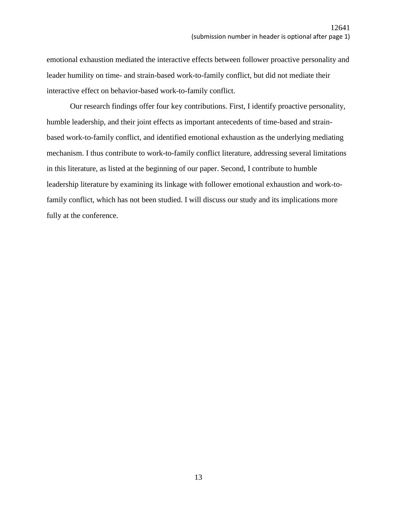emotional exhaustion mediated the interactive effects between follower proactive personality and leader humility on time- and strain-based work-to-family conflict, but did not mediate their interactive effect on behavior-based work-to-family conflict.

Our research findings offer four key contributions. First, I identify proactive personality, humble leadership, and their joint effects as important antecedents of time-based and strainbased work-to-family conflict, and identified emotional exhaustion as the underlying mediating mechanism. I thus contribute to work-to-family conflict literature, addressing several limitations in this literature, as listed at the beginning of our paper. Second, I contribute to humble leadership literature by examining its linkage with follower emotional exhaustion and work-tofamily conflict, which has not been studied. I will discuss our study and its implications more fully at the conference.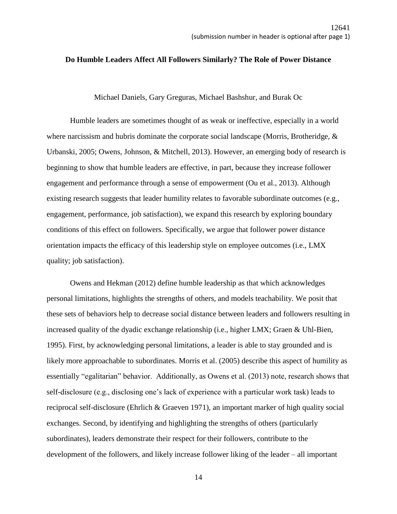#### **Do Humble Leaders Affect All Followers Similarly? The Role of Power Distance**

Michael Daniels, Gary Greguras, Michael Bashshur, and Burak Oc

Humble leaders are sometimes thought of as weak or ineffective, especially in a world where narcissism and hubris dominate the corporate social landscape (Morris, Brotheridge, & Urbanski, 2005; Owens, Johnson, & Mitchell, 2013). However, an emerging body of research is beginning to show that humble leaders are effective, in part, because they increase follower engagement and performance through a sense of empowerment (Ou et al., 2013). Although existing research suggests that leader humility relates to favorable subordinate outcomes (e.g., engagement, performance, job satisfaction), we expand this research by exploring boundary conditions of this effect on followers. Specifically, we argue that follower power distance orientation impacts the efficacy of this leadership style on employee outcomes (i.e., LMX quality; job satisfaction).

Owens and Hekman (2012) define humble leadership as that which acknowledges personal limitations, highlights the strengths of others, and models teachability. We posit that these sets of behaviors help to decrease social distance between leaders and followers resulting in increased quality of the dyadic exchange relationship (i.e., higher LMX; Graen & Uhl-Bien, 1995). First, by acknowledging personal limitations, a leader is able to stay grounded and is likely more approachable to subordinates. Morris et al. (2005) describe this aspect of humility as essentially "egalitarian" behavior. Additionally, as Owens et al. (2013) note, research shows that self-disclosure (e.g., disclosing one's lack of experience with a particular work task) leads to reciprocal self-disclosure (Ehrlich & Graeven 1971), an important marker of high quality social exchanges. Second, by identifying and highlighting the strengths of others (particularly subordinates), leaders demonstrate their respect for their followers, contribute to the development of the followers, and likely increase follower liking of the leader – all important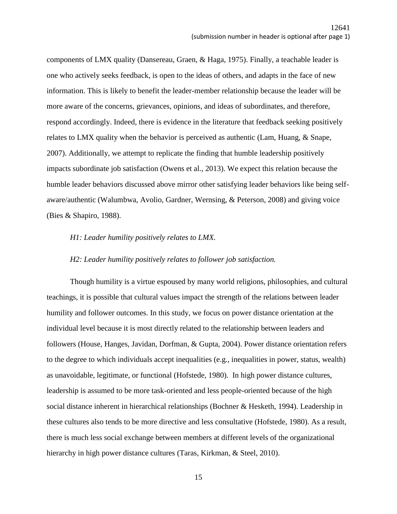components of LMX quality (Dansereau, Graen, & Haga, 1975). Finally, a teachable leader is one who actively seeks feedback, is open to the ideas of others, and adapts in the face of new information. This is likely to benefit the leader-member relationship because the leader will be more aware of the concerns, grievances, opinions, and ideas of subordinates, and therefore, respond accordingly. Indeed, there is evidence in the literature that feedback seeking positively relates to LMX quality when the behavior is perceived as authentic (Lam, Huang, & Snape, 2007). Additionally, we attempt to replicate the finding that humble leadership positively impacts subordinate job satisfaction (Owens et al., 2013). We expect this relation because the humble leader behaviors discussed above mirror other satisfying leader behaviors like being selfaware/authentic (Walumbwa, Avolio, Gardner, Wernsing, & Peterson, 2008) and giving voice (Bies & Shapiro, 1988).

### *H1: Leader humility positively relates to LMX.*

#### *H2: Leader humility positively relates to follower job satisfaction.*

Though humility is a virtue espoused by many world religions, philosophies, and cultural teachings, it is possible that cultural values impact the strength of the relations between leader humility and follower outcomes. In this study, we focus on power distance orientation at the individual level because it is most directly related to the relationship between leaders and followers (House, Hanges, Javidan, Dorfman, & Gupta, 2004). Power distance orientation refers to the degree to which individuals accept inequalities (e.g., inequalities in power, status, wealth) as unavoidable, legitimate, or functional (Hofstede, 1980). In high power distance cultures, leadership is assumed to be more task-oriented and less people-oriented because of the high social distance inherent in hierarchical relationships (Bochner & Hesketh, 1994). Leadership in these cultures also tends to be more directive and less consultative (Hofstede, 1980). As a result, there is much less social exchange between members at different levels of the organizational hierarchy in high power distance cultures (Taras, Kirkman, & Steel, 2010).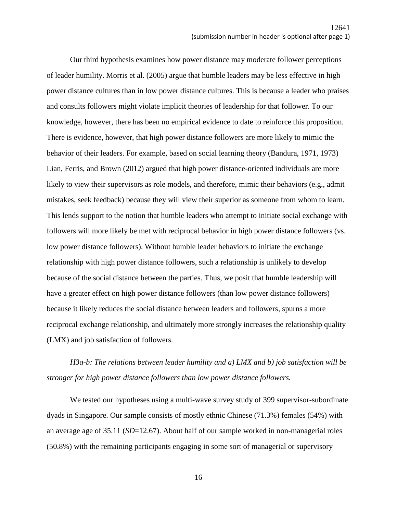Our third hypothesis examines how power distance may moderate follower perceptions of leader humility. Morris et al. (2005) argue that humble leaders may be less effective in high power distance cultures than in low power distance cultures. This is because a leader who praises and consults followers might violate implicit theories of leadership for that follower. To our knowledge, however, there has been no empirical evidence to date to reinforce this proposition. There is evidence, however, that high power distance followers are more likely to mimic the behavior of their leaders. For example, based on social learning theory (Bandura, 1971, 1973) Lian, Ferris, and Brown (2012) argued that high power distance-oriented individuals are more likely to view their supervisors as role models, and therefore, mimic their behaviors (e.g., admit mistakes, seek feedback) because they will view their superior as someone from whom to learn. This lends support to the notion that humble leaders who attempt to initiate social exchange with followers will more likely be met with reciprocal behavior in high power distance followers (vs. low power distance followers). Without humble leader behaviors to initiate the exchange relationship with high power distance followers, such a relationship is unlikely to develop because of the social distance between the parties. Thus, we posit that humble leadership will have a greater effect on high power distance followers (than low power distance followers) because it likely reduces the social distance between leaders and followers, spurns a more reciprocal exchange relationship, and ultimately more strongly increases the relationship quality (LMX) and job satisfaction of followers.

*H3a-b: The relations between leader humility and a) LMX and b) job satisfaction will be stronger for high power distance followers than low power distance followers.* 

We tested our hypotheses using a multi-wave survey study of 399 supervisor-subordinate dyads in Singapore. Our sample consists of mostly ethnic Chinese (71.3%) females (54%) with an average age of 35.11 (*SD*=12.67). About half of our sample worked in non-managerial roles (50.8%) with the remaining participants engaging in some sort of managerial or supervisory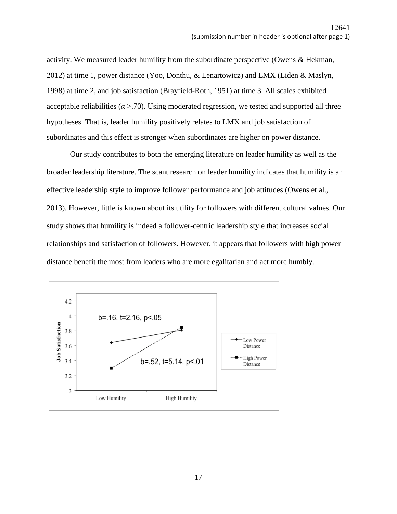activity. We measured leader humility from the subordinate perspective (Owens & Hekman, 2012) at time 1, power distance (Yoo, Donthu, & Lenartowicz) and LMX (Liden & Maslyn, 1998) at time 2, and job satisfaction (Brayfield-Roth, 1951) at time 3. All scales exhibited acceptable reliabilities ( $\alpha$  >.70). Using moderated regression, we tested and supported all three hypotheses. That is, leader humility positively relates to LMX and job satisfaction of subordinates and this effect is stronger when subordinates are higher on power distance.

Our study contributes to both the emerging literature on leader humility as well as the broader leadership literature. The scant research on leader humility indicates that humility is an effective leadership style to improve follower performance and job attitudes (Owens et al., 2013). However, little is known about its utility for followers with different cultural values. Our study shows that humility is indeed a follower-centric leadership style that increases social relationships and satisfaction of followers. However, it appears that followers with high power distance benefit the most from leaders who are more egalitarian and act more humbly.

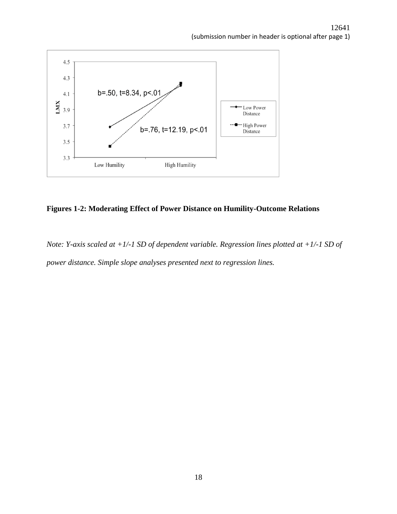

# **Figures 1-2: Moderating Effect of Power Distance on Humility-Outcome Relations**

*Note: Y-axis scaled at +1/-1 SD of dependent variable. Regression lines plotted at +1/-1 SD of power distance. Simple slope analyses presented next to regression lines.*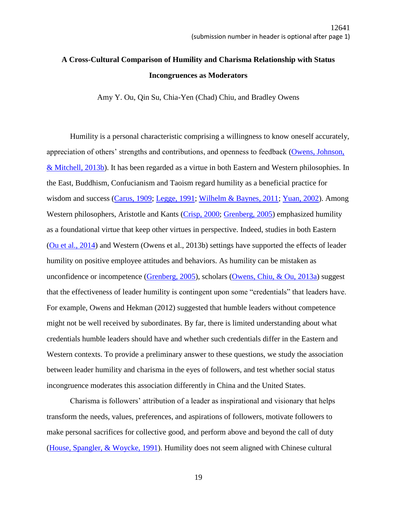# **A Cross-Cultural Comparison of Humility and Charisma Relationship with Status Incongruences as Moderators**

Amy Y. Ou, Qin Su, Chia-Yen (Chad) Chiu, and Bradley Owens

Humility is a personal characteristic comprising a willingness to know oneself accurately, appreciation of others' strengths and contributions, and openness to feedback [\(Owens, Johnson,](file://///zorro.aom.org/Annual%20Meeting/2017%20Annual%20Meeting%20Atlanta/Program%20Documents/Sample_Submissions/JH%20Sample_Submission_PRESENTER_SYMPOSIUM.docx%23_ENREF_24)  [& Mitchell, 2013b\)](file://///zorro.aom.org/Annual%20Meeting/2017%20Annual%20Meeting%20Atlanta/Program%20Documents/Sample_Submissions/JH%20Sample_Submission_PRESENTER_SYMPOSIUM.docx%23_ENREF_24). It has been regarded as a virtue in both Eastern and Western philosophies. In the East, Buddhism, Confucianism and Taoism regard humility as a beneficial practice for wisdom and success [\(Carus, 1909;](file://///zorro.aom.org/Annual%20Meeting/2017%20Annual%20Meeting%20Atlanta/Program%20Documents/Sample_Submissions/JH%20Sample_Submission_PRESENTER_SYMPOSIUM.docx%23_ENREF_8) [Legge, 1991;](file://///zorro.aom.org/Annual%20Meeting/2017%20Annual%20Meeting%20Atlanta/Program%20Documents/Sample_Submissions/JH%20Sample_Submission_PRESENTER_SYMPOSIUM.docx%23_ENREF_19) [Wilhelm & Baynes, 2011;](file://///zorro.aom.org/Annual%20Meeting/2017%20Annual%20Meeting%20Atlanta/Program%20Documents/Sample_Submissions/JH%20Sample_Submission_PRESENTER_SYMPOSIUM.docx%23_ENREF_31) [Yuan, 2002\)](file://///zorro.aom.org/Annual%20Meeting/2017%20Annual%20Meeting%20Atlanta/Program%20Documents/Sample_Submissions/JH%20Sample_Submission_PRESENTER_SYMPOSIUM.docx%23_ENREF_32). Among Western philosophers, Aristotle and Kants [\(Crisp, 2000;](file://///zorro.aom.org/Annual%20Meeting/2017%20Annual%20Meeting%20Atlanta/Program%20Documents/Sample_Submissions/JH%20Sample_Submission_PRESENTER_SYMPOSIUM.docx%23_ENREF_9) [Grenberg, 2005\)](file://///zorro.aom.org/Annual%20Meeting/2017%20Annual%20Meeting%20Atlanta/Program%20Documents/Sample_Submissions/JH%20Sample_Submission_PRESENTER_SYMPOSIUM.docx%23_ENREF_12) emphasized humility as a foundational virtue that keep other virtues in perspective. Indeed, studies in both Eastern [\(Ou et al., 2014\)](file://///zorro.aom.org/Annual%20Meeting/2017%20Annual%20Meeting%20Atlanta/Program%20Documents/Sample_Submissions/JH%20Sample_Submission_PRESENTER_SYMPOSIUM.docx%23_ENREF_22) and Western (Owens et al., 2013b) settings have supported the effects of leader humility on positive employee attitudes and behaviors. As humility can be mistaken as unconfidence or incompetence [\(Grenberg, 2005\)](file://///zorro.aom.org/Annual%20Meeting/2017%20Annual%20Meeting%20Atlanta/Program%20Documents/Sample_Submissions/JH%20Sample_Submission_PRESENTER_SYMPOSIUM.docx%23_ENREF_12), scholars [\(Owens, Chiu, & Ou, 2013a\)](file://///zorro.aom.org/Annual%20Meeting/2017%20Annual%20Meeting%20Atlanta/Program%20Documents/Sample_Submissions/JH%20Sample_Submission_PRESENTER_SYMPOSIUM.docx%23_ENREF_23) suggest that the effectiveness of leader humility is contingent upon some "credentials" that leaders have. For example, Owens and Hekman (2012) suggested that humble leaders without competence might not be well received by subordinates. By far, there is limited understanding about what credentials humble leaders should have and whether such credentials differ in the Eastern and Western contexts. To provide a preliminary answer to these questions, we study the association between leader humility and charisma in the eyes of followers, and test whether social status incongruence moderates this association differently in China and the United States.

Charisma is followers' attribution of a leader as inspirational and visionary that helps transform the needs, values, preferences, and aspirations of followers, motivate followers to make personal sacrifices for collective good, and perform above and beyond the call of duty [\(House, Spangler, & Woycke, 1991\)](file://///zorro.aom.org/Annual%20Meeting/2017%20Annual%20Meeting%20Atlanta/Program%20Documents/Sample_Submissions/JH%20Sample_Submission_PRESENTER_SYMPOSIUM.docx%23_ENREF_16). Humility does not seem aligned with Chinese cultural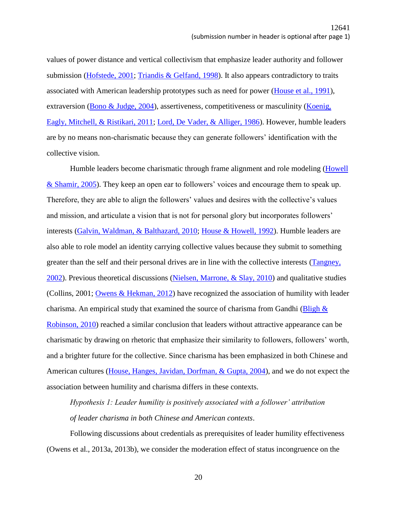values of power distance and vertical collectivism that emphasize leader authority and follower submission [\(Hofstede, 2001;](file://///zorro.aom.org/Annual%20Meeting/2017%20Annual%20Meeting%20Atlanta/Program%20Documents/Sample_Submissions/JH%20Sample_Submission_PRESENTER_SYMPOSIUM.docx%23_ENREF_13) [Triandis & Gelfand, 1998\)](file://///zorro.aom.org/Annual%20Meeting/2017%20Annual%20Meeting%20Atlanta/Program%20Documents/Sample_Submissions/JH%20Sample_Submission_PRESENTER_SYMPOSIUM.docx%23_ENREF_30). It also appears contradictory to traits associated with American leadership prototypes such as need for power [\(House et al., 1991\)](file://///zorro.aom.org/Annual%20Meeting/2017%20Annual%20Meeting%20Atlanta/Program%20Documents/Sample_Submissions/JH%20Sample_Submission_PRESENTER_SYMPOSIUM.docx%23_ENREF_16), extraversion [\(Bono & Judge, 2004\)](file://///zorro.aom.org/Annual%20Meeting/2017%20Annual%20Meeting%20Atlanta/Program%20Documents/Sample_Submissions/JH%20Sample_Submission_PRESENTER_SYMPOSIUM.docx%23_ENREF_6), assertiveness, competitiveness or masculinity (Koenig, [Eagly, Mitchell, & Ristikari, 2011;](file://///zorro.aom.org/Annual%20Meeting/2017%20Annual%20Meeting%20Atlanta/Program%20Documents/Sample_Submissions/JH%20Sample_Submission_PRESENTER_SYMPOSIUM.docx%23_ENREF_18) [Lord, De Vader, & Alliger, 1986\)](file://///zorro.aom.org/Annual%20Meeting/2017%20Annual%20Meeting%20Atlanta/Program%20Documents/Sample_Submissions/JH%20Sample_Submission_PRESENTER_SYMPOSIUM.docx%23_ENREF_20). However, humble leaders are by no means non-charismatic because they can generate followers' identification with the collective vision.

Humble leaders become charismatic through frame alignment and role modeling [\(Howell](file://///zorro.aom.org/Annual%20Meeting/2017%20Annual%20Meeting%20Atlanta/Program%20Documents/Sample_Submissions/JH%20Sample_Submission_PRESENTER_SYMPOSIUM.docx%23_ENREF_17)  [& Shamir, 2005\)](file://///zorro.aom.org/Annual%20Meeting/2017%20Annual%20Meeting%20Atlanta/Program%20Documents/Sample_Submissions/JH%20Sample_Submission_PRESENTER_SYMPOSIUM.docx%23_ENREF_17). They keep an open ear to followers' voices and encourage them to speak up. Therefore, they are able to align the followers' values and desires with the collective's values and mission, and articulate a vision that is not for personal glory but incorporates followers' interests [\(Galvin, Waldman, & Balthazard, 2010;](file://///zorro.aom.org/Annual%20Meeting/2017%20Annual%20Meeting%20Atlanta/Program%20Documents/Sample_Submissions/JH%20Sample_Submission_PRESENTER_SYMPOSIUM.docx%23_ENREF_11) [House & Howell, 1992\)](file://///zorro.aom.org/Annual%20Meeting/2017%20Annual%20Meeting%20Atlanta/Program%20Documents/Sample_Submissions/JH%20Sample_Submission_PRESENTER_SYMPOSIUM.docx%23_ENREF_15). Humble leaders are also able to role model an identity carrying collective values because they submit to something greater than the self and their personal drives are in line with the collective interests [\(Tangney,](file://///zorro.aom.org/Annual%20Meeting/2017%20Annual%20Meeting%20Atlanta/Program%20Documents/Sample_Submissions/JH%20Sample_Submission_PRESENTER_SYMPOSIUM.docx%23_ENREF_29)  [2002\)](file://///zorro.aom.org/Annual%20Meeting/2017%20Annual%20Meeting%20Atlanta/Program%20Documents/Sample_Submissions/JH%20Sample_Submission_PRESENTER_SYMPOSIUM.docx%23_ENREF_29). Previous theoretical discussions [\(Nielsen, Marrone, & Slay, 2010\)](file://///zorro.aom.org/Annual%20Meeting/2017%20Annual%20Meeting%20Atlanta/Program%20Documents/Sample_Submissions/JH%20Sample_Submission_PRESENTER_SYMPOSIUM.docx%23_ENREF_21) and qualitative studies (Collins, 2001; [Owens & Hekman, 2012\)](file://///zorro.aom.org/Annual%20Meeting/2017%20Annual%20Meeting%20Atlanta/Program%20Documents/Sample_Submissions/JH%20Sample_Submission_PRESENTER_SYMPOSIUM.docx%23_ENREF_39) have recognized the association of humility with leader charisma. An empirical study that examined the source of charisma from Gandhi ( $\frac{B\log h}{\&}$ [Robinson, 2010\)](file://///zorro.aom.org/Annual%20Meeting/2017%20Annual%20Meeting%20Atlanta/Program%20Documents/Sample_Submissions/JH%20Sample_Submission_PRESENTER_SYMPOSIUM.docx%23_ENREF_5) reached a similar conclusion that leaders without attractive appearance can be charismatic by drawing on rhetoric that emphasize their similarity to followers, followers' worth, and a brighter future for the collective. Since charisma has been emphasized in both Chinese and American cultures [\(House, Hanges, Javidan, Dorfman, & Gupta, 2004\)](file://///zorro.aom.org/Annual%20Meeting/2017%20Annual%20Meeting%20Atlanta/Program%20Documents/Sample_Submissions/JH%20Sample_Submission_PRESENTER_SYMPOSIUM.docx%23_ENREF_14), and we do not expect the association between humility and charisma differs in these contexts.

*Hypothesis 1: Leader humility is positively associated with a follower' attribution of leader charisma in both Chinese and American contexts*.

Following discussions about credentials as prerequisites of leader humility effectiveness (Owens et al., 2013a, 2013b), we consider the moderation effect of status incongruence on the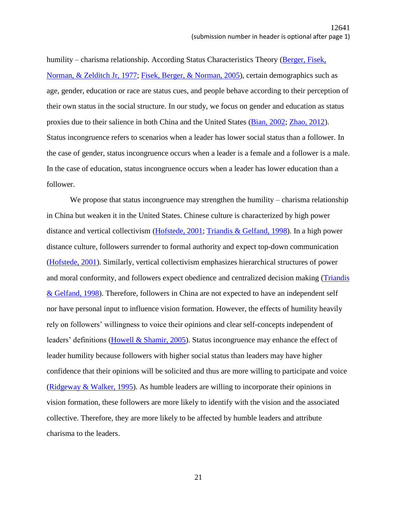humility – charisma relationship. According Status Characteristics Theory (Berger, Fisek, [Norman, & Zelditch Jr, 1977;](file://///zorro.aom.org/Annual%20Meeting/2017%20Annual%20Meeting%20Atlanta/Program%20Documents/Sample_Submissions/JH%20Sample_Submission_PRESENTER_SYMPOSIUM.docx%23_ENREF_2) [Fisek, Berger, & Norman, 2005\)](file://///zorro.aom.org/Annual%20Meeting/2017%20Annual%20Meeting%20Atlanta/Program%20Documents/Sample_Submissions/JH%20Sample_Submission_PRESENTER_SYMPOSIUM.docx%23_ENREF_10), certain demographics such as age, gender, education or race are status cues, and people behave according to their perception of their own status in the social structure. In our study, we focus on gender and education as status proxies due to their salience in both China and the United States [\(Bian, 2002;](file://///zorro.aom.org/Annual%20Meeting/2017%20Annual%20Meeting%20Atlanta/Program%20Documents/Sample_Submissions/JH%20Sample_Submission_PRESENTER_SYMPOSIUM.docx%23_ENREF_3) [Zhao, 2012\)](file://///zorro.aom.org/Annual%20Meeting/2017%20Annual%20Meeting%20Atlanta/Program%20Documents/Sample_Submissions/JH%20Sample_Submission_PRESENTER_SYMPOSIUM.docx%23_ENREF_33). Status incongruence refers to scenarios when a leader has lower social status than a follower. In the case of gender, status incongruence occurs when a leader is a female and a follower is a male. In the case of education, status incongruence occurs when a leader has lower education than a follower.

We propose that status incongruence may strengthen the humility – charisma relationship in China but weaken it in the United States. Chinese culture is characterized by high power distance and vertical collectivism [\(Hofstede, 2001;](file://///zorro.aom.org/Annual%20Meeting/2017%20Annual%20Meeting%20Atlanta/Program%20Documents/Sample_Submissions/JH%20Sample_Submission_PRESENTER_SYMPOSIUM.docx%23_ENREF_13) [Triandis & Gelfand, 1998\)](file://///zorro.aom.org/Annual%20Meeting/2017%20Annual%20Meeting%20Atlanta/Program%20Documents/Sample_Submissions/JH%20Sample_Submission_PRESENTER_SYMPOSIUM.docx%23_ENREF_30). In a high power distance culture, followers surrender to formal authority and expect top-down communication [\(Hofstede, 2001\)](file://///zorro.aom.org/Annual%20Meeting/2017%20Annual%20Meeting%20Atlanta/Program%20Documents/Sample_Submissions/JH%20Sample_Submission_PRESENTER_SYMPOSIUM.docx%23_ENREF_13). Similarly, vertical collectivism emphasizes hierarchical structures of power and moral conformity, and followers expect obedience and centralized decision making [\(Triandis](file://///zorro.aom.org/Annual%20Meeting/2017%20Annual%20Meeting%20Atlanta/Program%20Documents/Sample_Submissions/JH%20Sample_Submission_PRESENTER_SYMPOSIUM.docx%23_ENREF_30)  [& Gelfand, 1998\)](file://///zorro.aom.org/Annual%20Meeting/2017%20Annual%20Meeting%20Atlanta/Program%20Documents/Sample_Submissions/JH%20Sample_Submission_PRESENTER_SYMPOSIUM.docx%23_ENREF_30). Therefore, followers in China are not expected to have an independent self nor have personal input to influence vision formation. However, the effects of humility heavily rely on followers' willingness to voice their opinions and clear self-concepts independent of leaders' definitions [\(Howell & Shamir, 2005\)](file://///zorro.aom.org/Annual%20Meeting/2017%20Annual%20Meeting%20Atlanta/Program%20Documents/Sample_Submissions/JH%20Sample_Submission_PRESENTER_SYMPOSIUM.docx%23_ENREF_17). Status incongruence may enhance the effect of leader humility because followers with higher social status than leaders may have higher confidence that their opinions will be solicited and thus are more willing to participate and voice [\(Ridgeway & Walker, 1995\)](file://///zorro.aom.org/Annual%20Meeting/2017%20Annual%20Meeting%20Atlanta/Program%20Documents/Sample_Submissions/JH%20Sample_Submission_PRESENTER_SYMPOSIUM.docx%23_ENREF_27). As humble leaders are willing to incorporate their opinions in vision formation, these followers are more likely to identify with the vision and the associated collective. Therefore, they are more likely to be affected by humble leaders and attribute charisma to the leaders.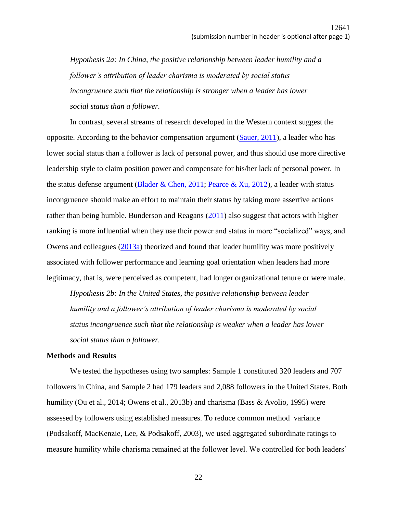*Hypothesis 2a: In China, the positive relationship between leader humility and a follower's attribution of leader charisma is moderated by social status incongruence such that the relationship is stronger when a leader has lower social status than a follower.*

In contrast, several streams of research developed in the Western context suggest the opposite. According to the behavior compensation argument  $(Sauer, 2011)$ , a leader who has lower social status than a follower is lack of personal power, and thus should use more directive leadership style to claim position power and compensate for his/her lack of personal power. In the status defense argument [\(Blader & Chen, 2011;](file://///zorro.aom.org/Annual%20Meeting/2017%20Annual%20Meeting%20Atlanta/Program%20Documents/Sample_Submissions/JH%20Sample_Submission_PRESENTER_SYMPOSIUM.docx%23_ENREF_4) [Pearce & Xu, 2012\)](file://///zorro.aom.org/Annual%20Meeting/2017%20Annual%20Meeting%20Atlanta/Program%20Documents/Sample_Submissions/JH%20Sample_Submission_PRESENTER_SYMPOSIUM.docx%23_ENREF_25), a leader with status incongruence should make an effort to maintain their status by taking more assertive actions rather than being humble. Bunderson and Reagans [\(2011\)](file://///zorro.aom.org/Annual%20Meeting/2017%20Annual%20Meeting%20Atlanta/Program%20Documents/Sample_Submissions/JH%20Sample_Submission_PRESENTER_SYMPOSIUM.docx%23_ENREF_7) also suggest that actors with higher ranking is more influential when they use their power and status in more "socialized" ways, and Owens and colleagues [\(2013a\)](file://///zorro.aom.org/Annual%20Meeting/2017%20Annual%20Meeting%20Atlanta/Program%20Documents/Sample_Submissions/JH%20Sample_Submission_PRESENTER_SYMPOSIUM.docx%23_ENREF_23) theorized and found that leader humility was more positively associated with follower performance and learning goal orientation when leaders had more legitimacy, that is, were perceived as competent, had longer organizational tenure or were male.

*Hypothesis 2b: In the United States, the positive relationship between leader humility and a follower's attribution of leader charisma is moderated by social status incongruence such that the relationship is weaker when a leader has lower social status than a follower.*

## **Methods and Results**

We tested the hypotheses using two samples: Sample 1 constituted 320 leaders and 707 followers in China, and Sample 2 had 179 leaders and 2,088 followers in the United States. Both humility [\(Ou et al., 2014;](file://///zorro.aom.org/Annual%20Meeting/2017%20Annual%20Meeting%20Atlanta/Program%20Documents/Sample_Submissions/JH%20Sample_Submission_PRESENTER_SYMPOSIUM.docx%23_ENREF_22) [Owens et al., 2013b\)](file://///zorro.aom.org/Annual%20Meeting/2017%20Annual%20Meeting%20Atlanta/Program%20Documents/Sample_Submissions/JH%20Sample_Submission_PRESENTER_SYMPOSIUM.docx%23_ENREF_24) and charisma [\(Bass & Avolio, 1995\)](file://///zorro.aom.org/Annual%20Meeting/2017%20Annual%20Meeting%20Atlanta/Program%20Documents/Sample_Submissions/JH%20Sample_Submission_PRESENTER_SYMPOSIUM.docx%23_ENREF_1) were assessed by followers using established measures. To reduce common method variance [\(Podsakoff, MacKenzie, Lee, & Podsakoff, 2003\)](file://///zorro.aom.org/Annual%20Meeting/2017%20Annual%20Meeting%20Atlanta/Program%20Documents/Sample_Submissions/JH%20Sample_Submission_PRESENTER_SYMPOSIUM.docx%23_ENREF_26), we used aggregated subordinate ratings to measure humility while charisma remained at the follower level. We controlled for both leaders'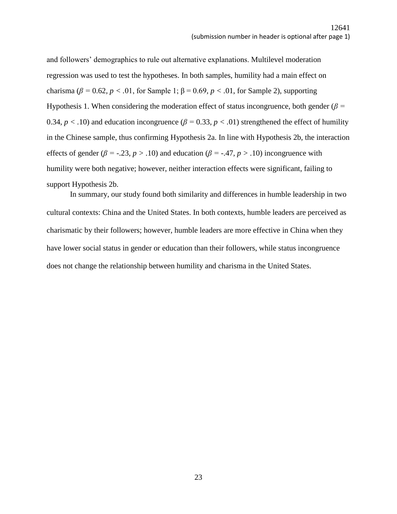and followers' demographics to rule out alternative explanations. Multilevel moderation regression was used to test the hypotheses. In both samples, humility had a main effect on charisma ( $\beta$  = 0.62,  $p < .01$ , for Sample 1;  $\beta$  = 0.69,  $p < .01$ , for Sample 2), supporting Hypothesis 1. When considering the moderation effect of status incongruence, both gender (*β =*  0.34,  $p < .10$ ) and education incongruence ( $\beta = 0.33$ ,  $p < .01$ ) strengthened the effect of humility in the Chinese sample, thus confirming Hypothesis 2a. In line with Hypothesis 2b, the interaction effects of gender ( $\beta$  = -.23*, p* > .10) and education ( $\beta$  = -.47*, p* > .10) incongruence with humility were both negative; however, neither interaction effects were significant, failing to support Hypothesis 2b.

In summary, our study found both similarity and differences in humble leadership in two cultural contexts: China and the United States. In both contexts, humble leaders are perceived as charismatic by their followers; however, humble leaders are more effective in China when they have lower social status in gender or education than their followers, while status incongruence does not change the relationship between humility and charisma in the United States.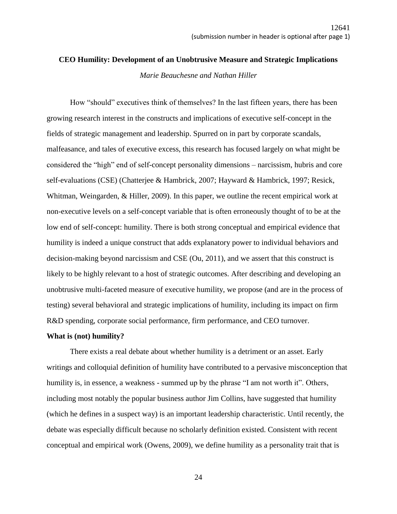# **CEO Humility: Development of an Unobtrusive Measure and Strategic Implications** *Marie Beauchesne and Nathan Hiller*

How "should" executives think of themselves? In the last fifteen years, there has been growing research interest in the constructs and implications of executive self-concept in the fields of strategic management and leadership. Spurred on in part by corporate scandals, malfeasance, and tales of executive excess, this research has focused largely on what might be considered the "high" end of self-concept personality dimensions – narcissism, hubris and core self-evaluations (CSE) (Chatterjee & Hambrick, 2007; Hayward & Hambrick, 1997; Resick, Whitman, Weingarden, & Hiller, 2009). In this paper, we outline the recent empirical work at non-executive levels on a self-concept variable that is often erroneously thought of to be at the low end of self-concept: humility. There is both strong conceptual and empirical evidence that humility is indeed a unique construct that adds explanatory power to individual behaviors and decision-making beyond narcissism and CSE (Ou, 2011), and we assert that this construct is likely to be highly relevant to a host of strategic outcomes. After describing and developing an unobtrusive multi-faceted measure of executive humility, we propose (and are in the process of testing) several behavioral and strategic implications of humility, including its impact on firm R&D spending, corporate social performance, firm performance, and CEO turnover.

## **What is (not) humility?**

There exists a real debate about whether humility is a detriment or an asset. Early writings and colloquial definition of humility have contributed to a pervasive misconception that humility is, in essence, a weakness - summed up by the phrase "I am not worth it". Others, including most notably the popular business author Jim Collins, have suggested that humility (which he defines in a suspect way) is an important leadership characteristic. Until recently, the debate was especially difficult because no scholarly definition existed. Consistent with recent conceptual and empirical work (Owens, 2009), we define humility as a personality trait that is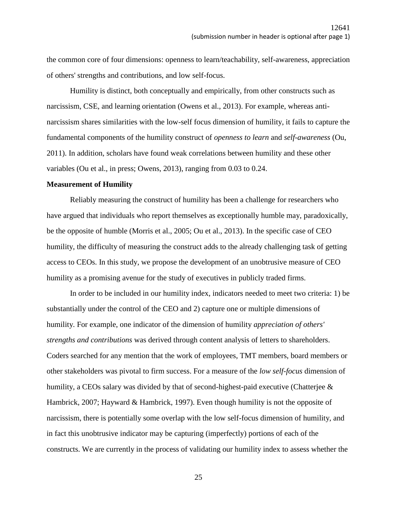the common core of four dimensions: openness to learn/teachability, self-awareness, appreciation of others' strengths and contributions, and low self-focus.

Humility is distinct, both conceptually and empirically, from other constructs such as narcissism, CSE, and learning orientation (Owens et al., 2013). For example, whereas antinarcissism shares similarities with the low-self focus dimension of humility, it fails to capture the fundamental components of the humility construct of *openness to learn* and *self-awareness* (Ou, 2011). In addition, scholars have found weak correlations between humility and these other variables (Ou et al., in press; Owens, 2013), ranging from 0.03 to 0.24.

### **Measurement of Humility**

Reliably measuring the construct of humility has been a challenge for researchers who have argued that individuals who report themselves as exceptionally humble may, paradoxically, be the opposite of humble (Morris et al., 2005; Ou et al., 2013). In the specific case of CEO humility, the difficulty of measuring the construct adds to the already challenging task of getting access to CEOs. In this study, we propose the development of an unobtrusive measure of CEO humility as a promising avenue for the study of executives in publicly traded firms.

In order to be included in our humility index, indicators needed to meet two criteria: 1) be substantially under the control of the CEO and 2) capture one or multiple dimensions of humility. For example, one indicator of the dimension of humility *appreciation of others' strengths and contributions* was derived through content analysis of letters to shareholders. Coders searched for any mention that the work of employees, TMT members, board members or other stakeholders was pivotal to firm success. For a measure of the *low self-focus* dimension of humility, a CEOs salary was divided by that of second-highest-paid executive (Chatterjee & Hambrick, 2007; Hayward & Hambrick, 1997). Even though humility is not the opposite of narcissism, there is potentially some overlap with the low self-focus dimension of humility, and in fact this unobtrusive indicator may be capturing (imperfectly) portions of each of the constructs. We are currently in the process of validating our humility index to assess whether the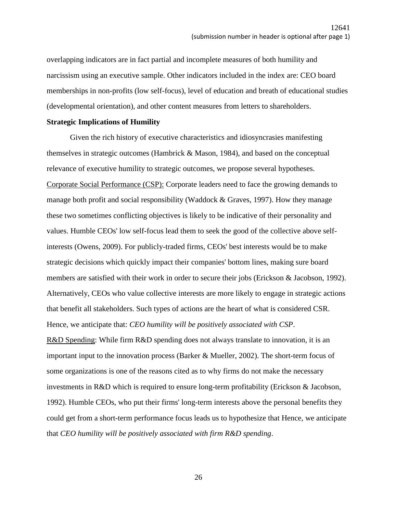overlapping indicators are in fact partial and incomplete measures of both humility and narcissism using an executive sample. Other indicators included in the index are: CEO board memberships in non-profits (low self-focus), level of education and breath of educational studies (developmental orientation), and other content measures from letters to shareholders.

## **Strategic Implications of Humility**

Given the rich history of executive characteristics and idiosyncrasies manifesting themselves in strategic outcomes (Hambrick & Mason, 1984), and based on the conceptual relevance of executive humility to strategic outcomes, we propose several hypotheses. Corporate Social Performance (CSP): Corporate leaders need to face the growing demands to manage both profit and social responsibility (Waddock & Graves, 1997). How they manage these two sometimes conflicting objectives is likely to be indicative of their personality and values. Humble CEOs' low self-focus lead them to seek the good of the collective above selfinterests (Owens, 2009). For publicly-traded firms, CEOs' best interests would be to make strategic decisions which quickly impact their companies' bottom lines, making sure board members are satisfied with their work in order to secure their jobs (Erickson & Jacobson, 1992). Alternatively, CEOs who value collective interests are more likely to engage in strategic actions that benefit all stakeholders. Such types of actions are the heart of what is considered CSR. Hence, we anticipate that: *CEO humility will be positively associated with CSP*.

R&D Spending: While firm R&D spending does not always translate to innovation, it is an important input to the innovation process (Barker & Mueller, 2002). The short-term focus of some organizations is one of the reasons cited as to why firms do not make the necessary investments in R&D which is required to ensure long-term profitability (Erickson & Jacobson, 1992). Humble CEOs, who put their firms' long-term interests above the personal benefits they could get from a short-term performance focus leads us to hypothesize that Hence, we anticipate that *CEO humility will be positively associated with firm R&D spending*.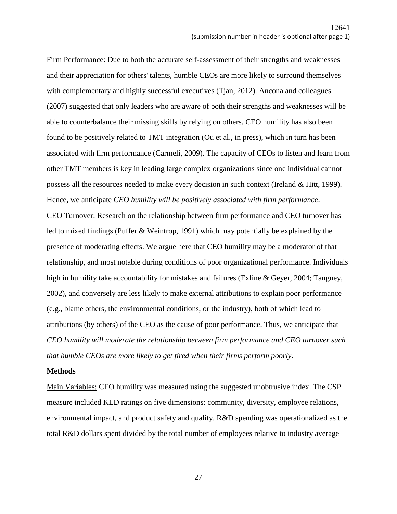Firm Performance: Due to both the accurate self-assessment of their strengths and weaknesses and their appreciation for others' talents, humble CEOs are more likely to surround themselves with complementary and highly successful executives (Tjan, 2012). Ancona and colleagues (2007) suggested that only leaders who are aware of both their strengths and weaknesses will be able to counterbalance their missing skills by relying on others. CEO humility has also been found to be positively related to TMT integration (Ou et al., in press), which in turn has been associated with firm performance (Carmeli, 2009). The capacity of CEOs to listen and learn from other TMT members is key in leading large complex organizations since one individual cannot possess all the resources needed to make every decision in such context (Ireland & Hitt, 1999). Hence, we anticipate *CEO humility will be positively associated with firm performance*. CEO Turnover: Research on the relationship between firm performance and CEO turnover has led to mixed findings (Puffer & Weintrop, 1991) which may potentially be explained by the presence of moderating effects. We argue here that CEO humility may be a moderator of that relationship, and most notable during conditions of poor organizational performance. Individuals high in humility take accountability for mistakes and failures (Exline & Geyer, 2004; Tangney, 2002), and conversely are less likely to make external attributions to explain poor performance (e.g., blame others, the environmental conditions, or the industry), both of which lead to attributions (by others) of the CEO as the cause of poor performance. Thus, we anticipate that *CEO humility will moderate the relationship between firm performance and CEO turnover such that humble CEOs are more likely to get fired when their firms perform poorly*.

### **Methods**

Main Variables: CEO humility was measured using the suggested unobtrusive index. The CSP measure included KLD ratings on five dimensions: community, diversity, employee relations, environmental impact, and product safety and quality. R&D spending was operationalized as the total R&D dollars spent divided by the total number of employees relative to industry average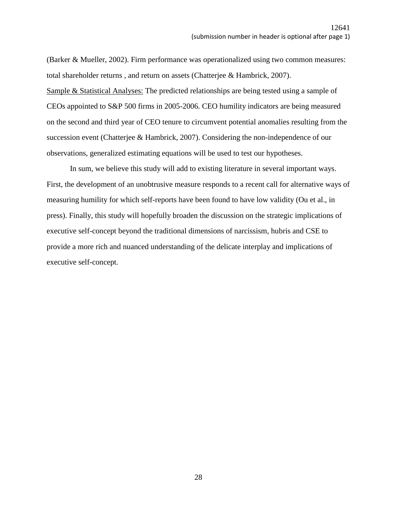(Barker & Mueller, 2002). Firm performance was operationalized using two common measures: total shareholder returns , and return on assets (Chatterjee & Hambrick, 2007). Sample & Statistical Analyses: The predicted relationships are being tested using a sample of CEOs appointed to S&P 500 firms in 2005-2006. CEO humility indicators are being measured on the second and third year of CEO tenure to circumvent potential anomalies resulting from the succession event (Chatterjee & Hambrick, 2007). Considering the non-independence of our observations, generalized estimating equations will be used to test our hypotheses.

In sum, we believe this study will add to existing literature in several important ways. First, the development of an unobtrusive measure responds to a recent call for alternative ways of measuring humility for which self-reports have been found to have low validity (Ou et al., in press). Finally, this study will hopefully broaden the discussion on the strategic implications of executive self-concept beyond the traditional dimensions of narcissism, hubris and CSE to provide a more rich and nuanced understanding of the delicate interplay and implications of executive self-concept.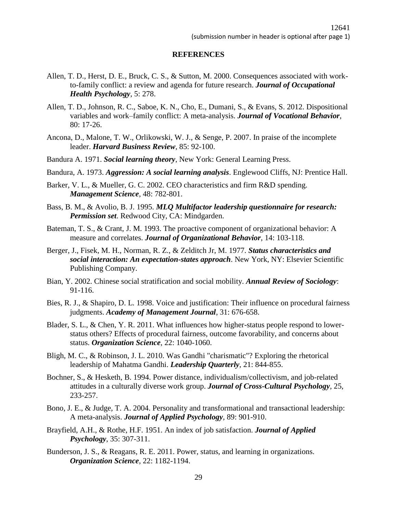### **REFERENCES**

- Allen, T. D., Herst, D. E., Bruck, C. S., & Sutton, M. 2000. Consequences associated with workto-family conflict: a review and agenda for future research. *Journal of Occupational Health Psychology*, 5: 278.
- Allen, T. D., Johnson, R. C., Saboe, K. N., Cho, E., Dumani, S., & Evans, S. 2012. Dispositional variables and work–family conflict: A meta-analysis. *Journal of Vocational Behavior*, 80: 17-26.
- Ancona, D., Malone, T. W., Orlikowski, W. J., & Senge, P. 2007. In praise of the incomplete leader. *Harvard Business Review*, 85: 92-100.
- Bandura A. 1971. *Social learning theory*, New York: General Learning Press.
- Bandura, A. 1973. *Aggression: A social learning analysis*. Englewood Cliffs, NJ: Prentice Hall.
- Barker, V. L., & Mueller, G. C. 2002. CEO characteristics and firm R&D spending. *Management Science*, 48: 782-801.
- Bass, B. M., & Avolio, B. J. 1995. *MLQ Multifactor leadership questionnaire for research: Permission set*. Redwood City, CA: Mindgarden.
- Bateman, T. S., & Crant, J. M. 1993. The proactive component of organizational behavior: A measure and correlates. *Journal of Organizational Behavior*, 14: 103-118.
- Berger, J., Fisek, M. H., Norman, R. Z., & Zelditch Jr, M. 1977. *Status characteristics and social interaction: An expectation-states approach*. New York, NY: Elsevier Scientific Publishing Company.
- Bian, Y. 2002. Chinese social stratification and social mobility. *Annual Review of Sociology*: 91-116.
- Bies, R. J., & Shapiro, D. L. 1998. Voice and justification: Their influence on procedural fairness judgments. *Academy of Management Journal*, 31: 676-658.
- Blader, S. L., & Chen, Y. R. 2011. What influences how higher-status people respond to lowerstatus others? Effects of procedural fairness, outcome favorability, and concerns about status. *Organization Science*, 22: 1040-1060.
- Bligh, M. C., & Robinson, J. L. 2010. Was Gandhi "charismatic"? Exploring the rhetorical leadership of Mahatma Gandhi. *Leadership Quarterly*, 21: 844-855.
- Bochner, S., & Hesketh, B. 1994. Power distance, individualism/collectivism, and job-related attitudes in a culturally diverse work group. *Journal of Cross-Cultural Psychology*, 25, 233-257.
- Bono, J. E., & Judge, T. A. 2004. Personality and transformational and transactional leadership: A meta-analysis. *Journal of Applied Psychology*, 89: 901-910.
- Brayfield, A.H., & Rothe, H.F. 1951. An index of job satisfaction. *Journal of Applied Psychology*, 35: 307-311.
- Bunderson, J. S., & Reagans, R. E. 2011. Power, status, and learning in organizations. *Organization Science*, 22: 1182-1194.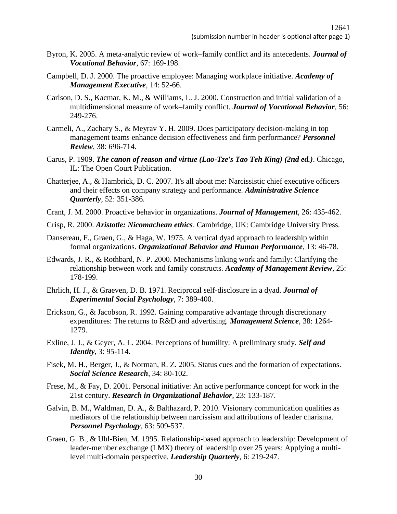- Byron, K. 2005. A meta-analytic review of work–family conflict and its antecedents. *Journal of Vocational Behavior*, 67: 169-198.
- Campbell, D. J. 2000. The proactive employee: Managing workplace initiative. *Academy of Management Executive*, 14: 52-66.
- Carlson, D. S., Kacmar, K. M., & Williams, L. J. 2000. Construction and initial validation of a multidimensional measure of work–family conflict. *Journal of Vocational Behavior*, 56: 249-276.
- Carmeli, A., Zachary S., & Meyrav Y. H. 2009. Does participatory decision-making in top management teams enhance decision effectiveness and firm performance? *Personnel Review*, 38: 696-714.
- Carus, P. 1909. *The canon of reason and virtue (Lao-Tze's Tao Teh King) (2nd ed.)*. Chicago, IL: The Open Court Publication.
- Chatterjee, A., & Hambrick, D. C. 2007. It's all about me: Narcissistic chief executive officers and their effects on company strategy and performance. *Administrative Science Quarterly*, 52: 351-386.
- Crant, J. M. 2000. Proactive behavior in organizations. *Journal of Management*, 26: 435-462.
- Crisp, R. 2000. *Aristotle: Nicomachean ethics*. Cambridge, UK: Cambridge University Press.
- Dansereau, F., Graen, G., & Haga, W. 1975. A vertical dyad approach to leadership within formal organizations. *Organizational Behavior and Human Performance*, 13: 46-78.
- Edwards, J. R., & Rothbard, N. P. 2000. Mechanisms linking work and family: Clarifying the relationship between work and family constructs. *Academy of Management Review*, 25: 178-199.
- Ehrlich, H. J., & Graeven, D. B. 1971. Reciprocal self-disclosure in a dyad. *Journal of Experimental Social Psychology*, 7: 389-400.
- Erickson, G., & Jacobson, R. 1992. Gaining comparative advantage through discretionary expenditures: The returns to R&D and advertising. *Management Science*, 38: 1264- 1279.
- Exline, J. J., & Geyer, A. L. 2004. Perceptions of humility: A preliminary study. *Self and Identity*, 3: 95-114.
- Fisek, M. H., Berger, J., & Norman, R. Z. 2005. Status cues and the formation of expectations. *Social Science Research*, 34: 80-102.
- Frese, M., & Fay, D. 2001. Personal initiative: An active performance concept for work in the 21st century. *Research in Organizational Behavior*, 23: 133-187.
- Galvin, B. M., Waldman, D. A., & Balthazard, P. 2010. Visionary communication qualities as mediators of the relationship between narcissism and attributions of leader charisma. *Personnel Psychology*, 63: 509-537.
- Graen, G. B., & Uhl-Bien, M. 1995. Relationship-based approach to leadership: Development of leader-member exchange (LMX) theory of leadership over 25 years: Applying a multilevel multi-domain perspective. *Leadership Quarterly*, 6: 219-247.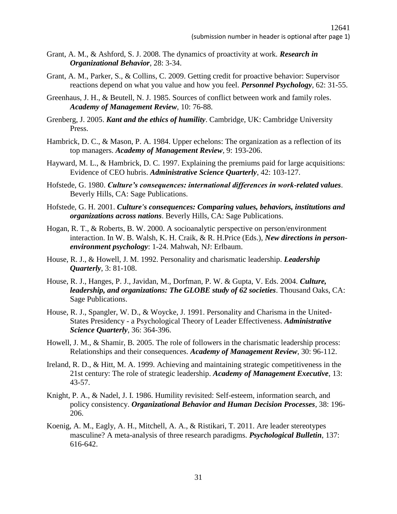- Grant, A. M., & Ashford, S. J. 2008. The dynamics of proactivity at work. *Research in Organizational Behavior*, 28: 3-34.
- Grant, A. M., Parker, S., & Collins, C. 2009. Getting credit for proactive behavior: Supervisor reactions depend on what you value and how you feel. *Personnel Psychology*, 62: 31-55.
- Greenhaus, J. H., & Beutell, N. J. 1985. Sources of conflict between work and family roles. *Academy of Management Review*, 10: 76-88.
- Grenberg, J. 2005. *Kant and the ethics of humility*. Cambridge, UK: Cambridge University Press.
- Hambrick, D. C., & Mason, P. A. 1984. Upper echelons: The organization as a reflection of its top managers. *Academy of Management Review*, 9: 193-206.
- Hayward, M. L., & Hambrick, D. C. 1997. Explaining the premiums paid for large acquisitions: Evidence of CEO hubris. *Administrative Science Quarterly*, 42: 103-127.
- Hofstede, G. 1980. *Culture's consequences: international differences in work-related values*. Beverly Hills, CA: Sage Publications.
- Hofstede, G. H. 2001. *Culture's consequences: Comparing values, behaviors, institutions and organizations across nations*. Beverly Hills, CA: Sage Publications.
- Hogan, R. T., & Roberts, B. W. 2000. A socioanalytic perspective on person/environment interaction. In W. B. Walsh, K. H. Craik, & R. H.Price (Eds.), *New directions in personenvironment psychology*: 1-24. Mahwah, NJ: Erlbaum.
- House, R. J., & Howell, J. M. 1992. Personality and charismatic leadership. *Leadership Quarterly*, 3: 81-108.
- House, R. J., Hanges, P. J., Javidan, M., Dorfman, P. W. & Gupta, V. Eds. 2004. *Culture, leadership, and organizations: The GLOBE study of 62 societies*. Thousand Oaks, CA: Sage Publications.
- House, R. J., Spangler, W. D., & Woycke, J. 1991. Personality and Charisma in the United-States Presidency - a Psychological Theory of Leader Effectiveness. *Administrative Science Quarterly*, 36: 364-396.
- Howell, J. M., & Shamir, B. 2005. The role of followers in the charismatic leadership process: Relationships and their consequences. *Academy of Management Review*, 30: 96-112.
- Ireland, R. D., & Hitt, M. A. 1999. Achieving and maintaining strategic competitiveness in the 21st century: The role of strategic leadership. *Academy of Management Executive*, 13: 43-57.
- Knight, P. A., & Nadel, J. I. 1986. Humility revisited: Self-esteem, information search, and policy consistency. *Organizational Behavior and Human Decision Processes*, 38: 196- 206.
- Koenig, A. M., Eagly, A. H., Mitchell, A. A., & Ristikari, T. 2011. Are leader stereotypes masculine? A meta-analysis of three research paradigms. *Psychological Bulletin*, 137: 616-642.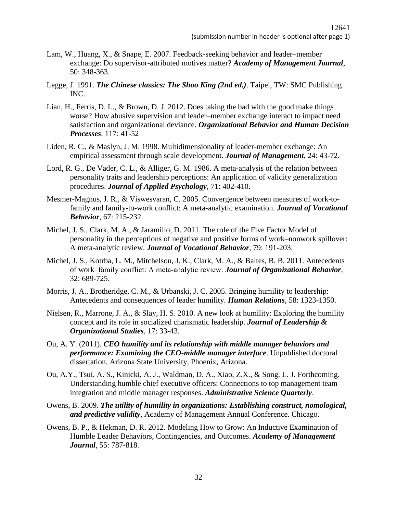- Lam, W., Huang, X., & Snape, E. 2007. Feedback-seeking behavior and leader–member exchange: Do supervisor-attributed motives matter? *Academy of Management Journal*, 50: 348-363.
- Legge, J. 1991. *The Chinese classics: The Shoo King (2nd ed.)*. Taipei, TW: SMC Publishing INC.
- Lian, H., Ferris, D. L., & Brown, D. J. 2012. Does taking the bad with the good make things worse? How abusive supervision and leader–member exchange interact to impact need satisfaction and organizational deviance. *Organizational Behavior and Human Decision Processes*, 117: 41-52
- Liden, R. C., & Maslyn, J. M. 1998. Multidimensionality of leader-member exchange: An empirical assessment through scale development. *Journal of Management*, 24: 43-72.
- Lord, R. G., De Vader, C. L., & Alliger, G. M. 1986. A meta-analysis of the relation between personality traits and leadership perceptions: An application of validity generalization procedures. *Journal of Applied Psychology*, 71: 402-410.
- Mesmer-Magnus, J. R., & Viswesvaran, C. 2005. Convergence between measures of work-tofamily and family-to-work conflict: A meta-analytic examination. *Journal of Vocational Behavior*, 67: 215-232.
- Michel, J. S., Clark, M. A., & Jaramillo, D. 2011. The role of the Five Factor Model of personality in the perceptions of negative and positive forms of work–nonwork spillover: A meta-analytic review. *Journal of Vocational Behavior*, 79: 191-203.
- Michel, J. S., Kotrba, L. M., Mitchelson, J. K., Clark, M. A., & Baltes, B. B. 2011. Antecedents of work–family conflict: A meta‐analytic review. *Journal of Organizational Behavior*, 32: 689-725.
- Morris, J. A., Brotheridge, C. M., & Urbanski, J. C. 2005. Bringing humility to leadership: Antecedents and consequences of leader humility. *Human Relations*, 58: 1323-1350.
- Nielsen, R., Marrone, J. A., & Slay, H. S. 2010. A new look at humility: Exploring the humility concept and its role in socialized charismatic leadership. *Journal of Leadership & Organizational Studies*, 17: 33-43.
- Ou, A. Y. (2011). *CEO humility and its relationship with middle manager behaviors and performance: Examining the CEO-middle manager interface*. Unpublished doctoral dissertation, Arizona State University, Phoenix, Arizona.
- Ou, A.Y., Tsui, A. S., Kinicki, A. J., Waldman, D. A., Xiao, Z.X., & Song, L. J. Forthcoming. Understanding humble chief executive officers: Connections to top management team integration and middle manager responses. *Administrative Science Quarterly*.
- Owens, B. 2009. *The utility of humility in organizations: Establishing construct, nomological, and predictive validity*, Academy of Management Annual Conference. Chicago.
- Owens, B. P., & Hekman, D. R. 2012. Modeling How to Grow: An Inductive Examination of Humble Leader Behaviors, Contingencies, and Outcomes. *Academy of Management Journal*, 55: 787-818.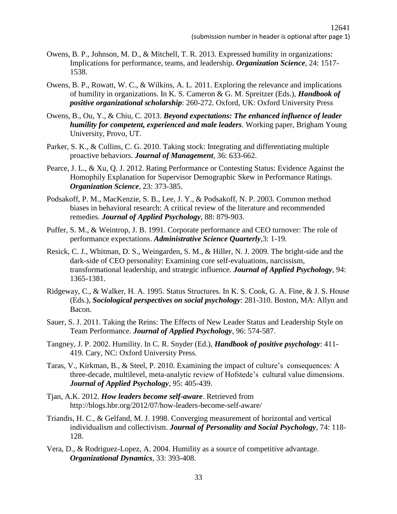- Owens, B. P., Johnson, M. D., & Mitchell, T. R. 2013. Expressed humility in organizations: Implications for performance, teams, and leadership. *Organization Science*, 24: 1517- 1538.
- Owens, B. P., Rowatt, W. C., & Wilkins, A. L. 2011. Exploring the relevance and implications of humility in organizations. In K. S. Cameron & G. M. Spreitzer (Eds.), *Handbook of positive organizational scholarship*: 260-272. Oxford, UK: Oxford University Press
- Owens, B., Ou, Y., & Chiu, C. 2013. *Beyond expectations: The enhanced influence of leader humility for competent, experienced and male leaders*. Working paper, Brigham Young University, Provo, UT.
- Parker, S. K., & Collins, C. G. 2010. Taking stock: Integrating and differentiating multiple proactive behaviors. *Journal of Management*, 36: 633-662.
- Pearce, J. L., & Xu, Q. J. 2012. Rating Performance or Contesting Status: Evidence Against the Homophily Explanation for Supervisor Demographic Skew in Performance Ratings. *Organization Science*, 23: 373-385.
- Podsakoff, P. M., MacKenzie, S. B., Lee, J. Y., & Podsakoff, N. P. 2003. Common method biases in behavioral research: A critical review of the literature and recommended remedies. *Journal of Applied Psychology*, 88: 879-903.
- Puffer, S. M., & Weintrop, J. B. 1991. Corporate performance and CEO turnover: The role of performance expectations. *Administrative Science Quarterly*,3: 1-19.
- Resick, C. J., Whitman, D. S., Weingarden, S. M., & Hiller, N. J. 2009. The bright-side and the dark-side of CEO personality: Examining core self-evaluations, narcissism, transformational leadership, and strategic influence. *Journal of Applied Psychology*, 94: 1365-1381.
- Ridgeway, C., & Walker, H. A. 1995. Status Structures. In K. S. Cook, G. A. Fine, & J. S. House (Eds.), *Sociological perspectives on social psychology*: 281-310. Boston, MA: Allyn and Bacon.
- Sauer, S. J. 2011. Taking the Reins: The Effects of New Leader Status and Leadership Style on Team Performance. *Journal of Applied Psychology*, 96: 574-587.
- Tangney, J. P. 2002. Humility. In C. R. Snyder (Ed.), *Handbook of positive psychology*: 411- 419. Cary, NC: Oxford University Press.
- Taras, V., Kirkman, B., & Steel, P. 2010. Examining the impact of culture's consequences: A three-decade, multilevel, meta-analytic review of Hofstede's cultural value dimensions. *Journal of Applied Psychology*, 95: 405-439.
- Tjan, A.K. 2012. *How leaders become self-aware*. Retrieved from http://blogs.hbr.org/2012/07/how-leaders-become-self-aware/
- Triandis, H. C., & Gelfand, M. J. 1998. Converging measurement of horizontal and vertical individualism and collectivism. *Journal of Personality and Social Psychology*, 74: 118- 128.
- Vera, D., & Rodriguez-Lopez, A. 2004. Humility as a source of competitive advantage. *Organizational Dynamics*, 33: 393-408.